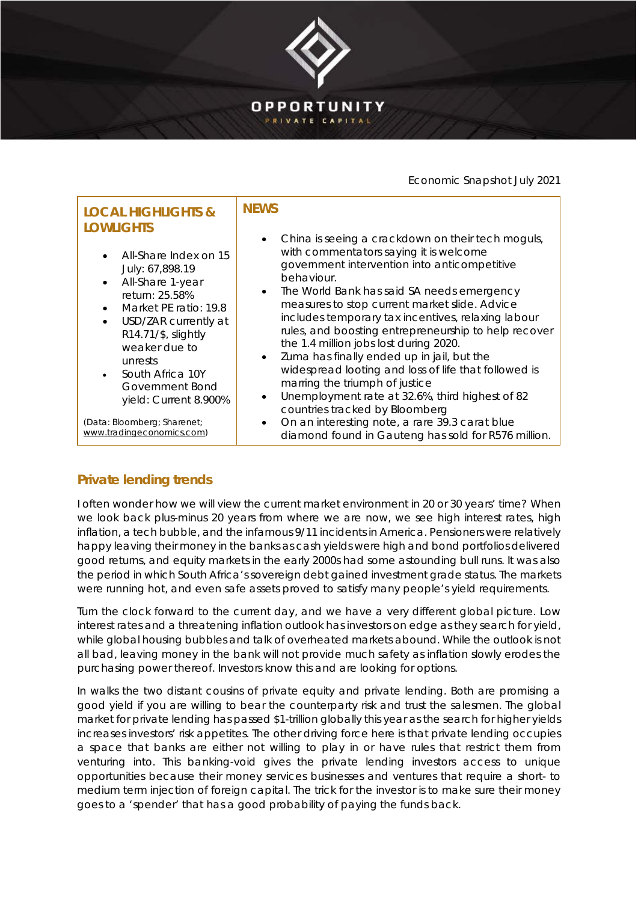

## Economic Snapshot July 2021

| <b>LOCAL HIGHLIGHTS &amp;</b><br><b>LOWLIGHTS</b><br>All-Share Index on 15<br>July: 67,898.19<br>All-Share 1-year<br>$\bullet$<br>return: 25.58%<br>Market PE ratio: 19.8<br>USD/ZAR currently at<br>$\bullet$<br>R14.71/\$, slightly<br>weaker due to<br>unrests<br>South Africa 10Y<br>Government Bond<br>yield: Current 8.900% | <b>NEWS</b><br>China is seeing a crackdown on their tech moguls,<br>$\bullet$<br>with commentators saying it is welcome<br>government intervention into anticompetitive<br>behaviour.<br>The World Bank has said SA needs emergency<br>$\bullet$<br>measures to stop current market slide. Advice<br>includes temporary tax incentives, relaxing labour<br>rules, and boosting entrepreneurship to help recover<br>the 1.4 million jobs lost during 2020.<br>Zuma has finally ended up in jail, but the<br>$\bullet$<br>widespread looting and loss of life that followed is<br>marring the triumph of justice<br>Unemployment rate at 32.6%, third highest of 82<br>$\bullet$<br>countries tracked by Bloomberg |
|-----------------------------------------------------------------------------------------------------------------------------------------------------------------------------------------------------------------------------------------------------------------------------------------------------------------------------------|------------------------------------------------------------------------------------------------------------------------------------------------------------------------------------------------------------------------------------------------------------------------------------------------------------------------------------------------------------------------------------------------------------------------------------------------------------------------------------------------------------------------------------------------------------------------------------------------------------------------------------------------------------------------------------------------------------------|
| (Data: Bloomberg; Sharenet;                                                                                                                                                                                                                                                                                                       | On an interesting note, a rare 39.3 carat blue                                                                                                                                                                                                                                                                                                                                                                                                                                                                                                                                                                                                                                                                   |
| www.tradingeconomics.com)                                                                                                                                                                                                                                                                                                         | diamond found in Gauteng has sold for R576 million.                                                                                                                                                                                                                                                                                                                                                                                                                                                                                                                                                                                                                                                              |

## **Private lending trends**

I often wonder how we will view the current market environment in 20 or 30 years' time? When we look back plus-minus 20 years from where we are now, we see high interest rates, high inflation, a tech bubble, and the infamous 9/11 incidents in America. Pensioners were relatively happy leaving their money in the banks as cash yields were high and bond portfolios delivered good returns, and equity markets in the early 2000s had some astounding bull runs. It was also the period in which South Africa's sovereign debt gained investment grade status. The markets were running hot, and even safe assets proved to satisfy many people's yield requirements.

Turn the clock forward to the current day, and we have a very different global picture. Low interest rates and a threatening inflation outlook has investors on edge as they search for yield, while global housing bubbles and talk of overheated markets abound. While the outlook is not all bad, leaving money in the bank will not provide much safety as inflation slowly erodes the purchasing power thereof. Investors know this and are looking for options.

In walks the two distant cousins of private equity and private lending. Both are promising a good yield if you are willing to bear the counterparty risk and trust the salesmen. The global market for private lending has passed \$1-trillion globally this year as the search for higher yields increases investors' risk appetites. The other driving force here is that private lending occupies a space that banks are either not willing to play in or have rules that restrict them from venturing into. This banking-void gives the private lending investors access to unique opportunities because their money services businesses and ventures that require a short- to medium term injection of foreign capital. The trick for the investor is to make sure their money goes to a 'spender' that has a good probability of paying the funds back.